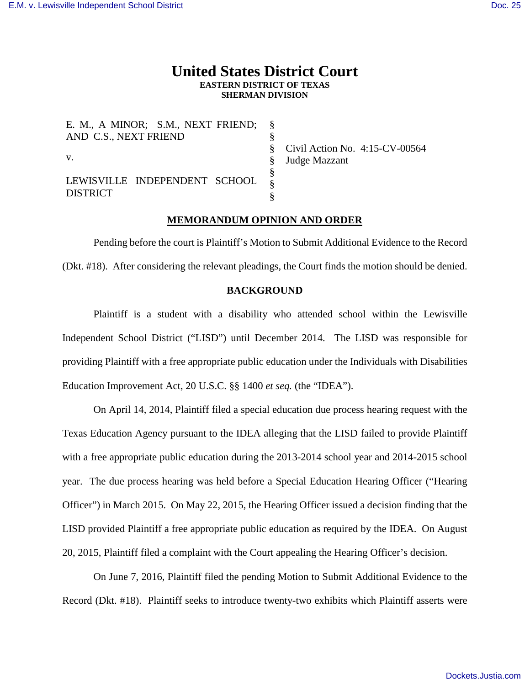# **United States District Court EASTERN DISTRICT OF TEXAS SHERMAN DIVISION**

| E. M., A MINOR; S.M., NEXT FRIEND; § |                                     |
|--------------------------------------|-------------------------------------|
| AND C.S., NEXT FRIEND                |                                     |
|                                      | $\S$ Civil Action No. 4:15-CV-00564 |
| V.                                   | Judge Mazzant                       |
|                                      |                                     |
| LEWISVILLE INDEPENDENT SCHOOL        |                                     |
| <b>DISTRICT</b>                      |                                     |

## **MEMORANDUM OPINION AND ORDER**

Pending before the court is Plaintiff's Motion to Submit Additional Evidence to the Record (Dkt. #18). After considering the relevant pleadings, the Court finds the motion should be denied.

## **BACKGROUND**

Plaintiff is a student with a disability who attended school within the Lewisville Independent School District ("LISD") until December 2014. The LISD was responsible for providing Plaintiff with a free appropriate public education under the Individuals with Disabilities Education Improvement Act, 20 U.S.C. §§ 1400 *et seq.* (the "IDEA").

On April 14, 2014, Plaintiff filed a special education due process hearing request with the Texas Education Agency pursuant to the IDEA alleging that the LISD failed to provide Plaintiff with a free appropriate public education during the 2013-2014 school year and 2014-2015 school year. The due process hearing was held before a Special Education Hearing Officer ("Hearing Officer") in March 2015. On May 22, 2015, the Hearing Officer issued a decision finding that the LISD provided Plaintiff a free appropriate public education as required by the IDEA. On August 20, 2015, Plaintiff filed a complaint with the Court appealing the Hearing Officer's decision.

On June 7, 2016, Plaintiff filed the pending Motion to Submit Additional Evidence to the Record (Dkt. #18). Plaintiff seeks to introduce twenty-two exhibits which Plaintiff asserts were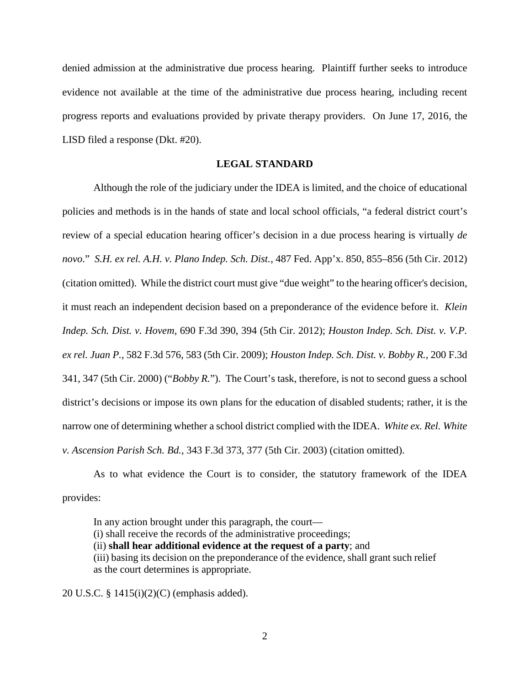denied admission at the administrative due process hearing. Plaintiff further seeks to introduce evidence not available at the time of the administrative due process hearing, including recent progress reports and evaluations provided by private therapy providers. On June 17, 2016, the LISD filed a response (Dkt. #20).

#### **LEGAL STANDARD**

Although the role of the judiciary under the IDEA is limited, and the choice of educational policies and methods is in the hands of state and local school officials, "a federal district court's review of a special education hearing officer's decision in a due process hearing is virtually *de novo*." *S.H. ex rel. A.H. v. Plano Indep. Sch. Dist.*, 487 Fed. App'x. 850, 855–856 (5th Cir. 2012) (citation omitted). While the district court must give "due weight" to the hearing officer's decision, it must reach an independent decision based on a preponderance of the evidence before it. *Klein Indep. Sch. Dist. v. Hovem*, 690 F.3d 390, 394 (5th Cir. 2012); *Houston Indep. Sch. Dist. v. V.P. ex rel. Juan P.*, 582 F.3d 576, 583 (5th Cir. 2009); *Houston Indep. Sch. Dist. v. Bobby R.*, 200 F.3d 341, 347 (5th Cir. 2000) ("*Bobby R.*"). The Court's task, therefore, is not to second guess a school district's decisions or impose its own plans for the education of disabled students; rather, it is the narrow one of determining whether a school district complied with the IDEA. *White ex. Rel. White v. Ascension Parish Sch. Bd.*, 343 F.3d 373, 377 (5th Cir. 2003) (citation omitted).

As to what evidence the Court is to consider, the statutory framework of the IDEA provides:

In any action brought under this paragraph, the court— (i) shall receive the records of the administrative proceedings; (ii) **shall hear additional evidence at the request of a party**; and (iii) basing its decision on the preponderance of the evidence, shall grant such relief as the court determines is appropriate.

20 U.S.C. § 1415(i)(2)(C) (emphasis added).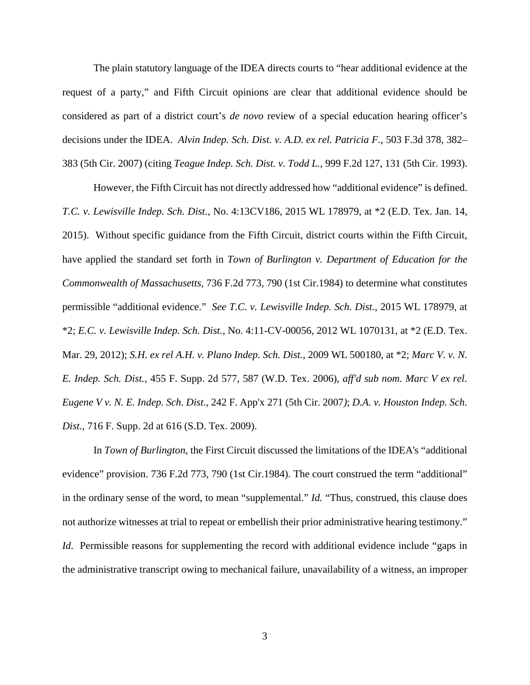The plain statutory language of the IDEA directs courts to "hear additional evidence at the request of a party," and Fifth Circuit opinions are clear that additional evidence should be considered as part of a district court's *de novo* review of a special education hearing officer's decisions under the IDEA. *Alvin Indep. Sch. Dist. v. A.D. ex rel. Patricia F.*, 503 F.3d 378, 382– 383 (5th Cir. 2007) (citing *Teague Indep. Sch. Dist. v. Todd L.*, 999 F.2d 127, 131 (5th Cir. 1993).

However, the Fifth Circuit has not directly addressed how "additional evidence" is defined. *T.C. v. Lewisville Indep. Sch. Dist.*, No. 4:13CV186, 2015 WL 178979, at \*2 (E.D. Tex. Jan. 14, 2015). Without specific guidance from the Fifth Circuit, district courts within the Fifth Circuit, have applied the standard set forth in *Town of Burlington v. Department of Education for the Commonwealth of Massachusetts,* 736 F.2d 773, 790 (1st Cir.1984) to determine what constitutes permissible "additional evidence." *See T.C. v. Lewisville Indep. Sch. Dist.*, 2015 WL 178979, at \*2; *E.C. v. Lewisville Indep. Sch. Dist.*, No. 4:11-CV-00056, 2012 WL 1070131, at \*2 (E.D. Tex. Mar. 29, 2012); *S.H. ex rel A.H. v. Plano Indep. Sch. Dist.*, 2009 WL 500180, at \*2; *Marc V. v. N. E. Indep. Sch. Dist.*, 455 F. Supp. 2d 577, 587 (W.D. Tex. 2006), *aff'd sub nom. Marc V ex rel. Eugene V v. N. E. Indep. Sch. Dist*., 242 F. App'x 271 (5th Cir. 2007*)*; *D.A. v. Houston Indep. Sch. Dist.*, 716 F. Supp. 2d at 616 (S.D. Tex. 2009).

In *Town of Burlington*, the First Circuit discussed the limitations of the IDEA's "additional evidence" provision. 736 F.2d 773, 790 (1st Cir.1984). The court construed the term "additional" in the ordinary sense of the word, to mean "supplemental." *Id.* "Thus, construed, this clause does not authorize witnesses at trial to repeat or embellish their prior administrative hearing testimony." *Id.* Permissible reasons for supplementing the record with additional evidence include "gaps in the administrative transcript owing to mechanical failure, unavailability of a witness, an improper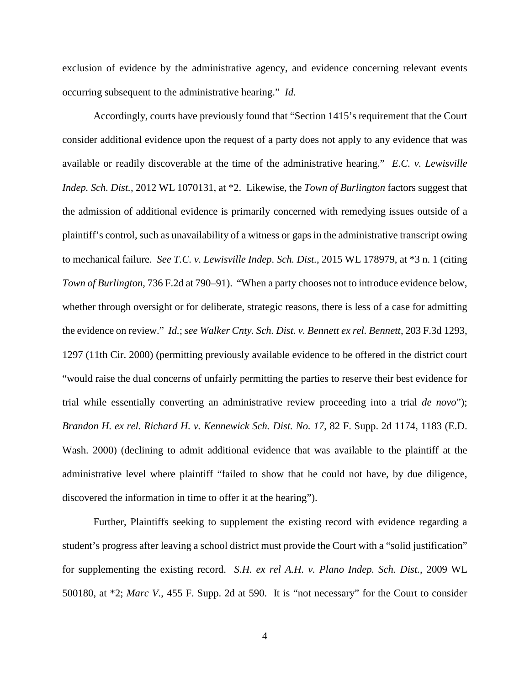exclusion of evidence by the administrative agency, and evidence concerning relevant events occurring subsequent to the administrative hearing." *Id.*

Accordingly, courts have previously found that "Section 1415's requirement that the Court consider additional evidence upon the request of a party does not apply to any evidence that was available or readily discoverable at the time of the administrative hearing." *E.C. v. Lewisville Indep. Sch. Dist.*, 2012 WL 1070131, at \*2. Likewise, the *Town of Burlington* factors suggest that the admission of additional evidence is primarily concerned with remedying issues outside of a plaintiff's control, such as unavailability of a witness or gaps in the administrative transcript owing to mechanical failure. *See T.C. v. Lewisville Indep. Sch. Dist.*, 2015 WL 178979, at \*3 n. 1 (citing *Town of Burlington*, 736 F.2d at 790–91). "When a party chooses not to introduce evidence below, whether through oversight or for deliberate, strategic reasons, there is less of a case for admitting the evidence on review." *Id.*; *see Walker Cnty. Sch. Dist. v. Bennett ex rel. Bennett*, 203 F.3d 1293, 1297 (11th Cir. 2000) (permitting previously available evidence to be offered in the district court "would raise the dual concerns of unfairly permitting the parties to reserve their best evidence for trial while essentially converting an administrative review proceeding into a trial *de novo*"); *Brandon H. ex rel. Richard H. v. Kennewick Sch. Dist. No. 17*, 82 F. Supp. 2d 1174, 1183 (E.D. Wash. 2000) (declining to admit additional evidence that was available to the plaintiff at the administrative level where plaintiff "failed to show that he could not have, by due diligence, discovered the information in time to offer it at the hearing").

Further, Plaintiffs seeking to supplement the existing record with evidence regarding a student's progress after leaving a school district must provide the Court with a "solid justification" for supplementing the existing record. *S.H. ex rel A.H. v. Plano Indep. Sch. Dist.*, 2009 WL 500180, at \*2; *Marc V.*, 455 F. Supp. 2d at 590. It is "not necessary" for the Court to consider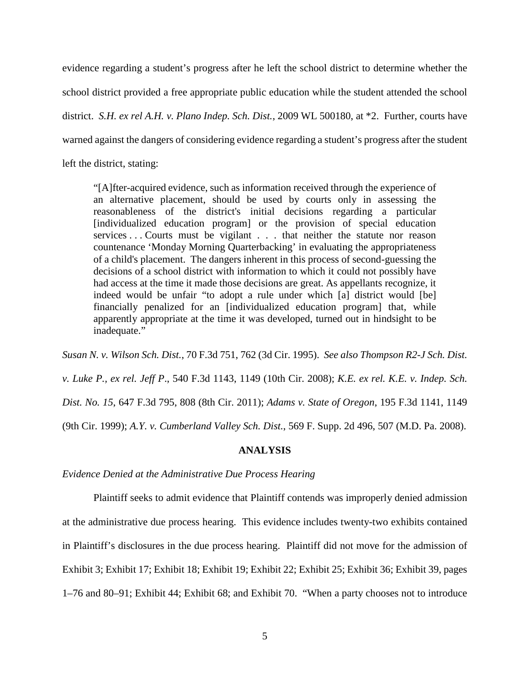evidence regarding a student's progress after he left the school district to determine whether the school district provided a free appropriate public education while the student attended the school district. *S.H. ex rel A.H. v. Plano Indep. Sch. Dist.*, 2009 WL 500180, at \*2. Further, courts have warned against the dangers of considering evidence regarding a student's progress after the student left the district, stating:

"[A]fter-acquired evidence, such as information received through the experience of an alternative placement, should be used by courts only in assessing the reasonableness of the district's initial decisions regarding a particular [individualized education program] or the provision of special education services . . . Courts must be vigilant . . . that neither the statute nor reason countenance 'Monday Morning Quarterbacking' in evaluating the appropriateness of a child's placement. The dangers inherent in this process of second-guessing the decisions of a school district with information to which it could not possibly have had access at the time it made those decisions are great. As appellants recognize, it indeed would be unfair "to adopt a rule under which [a] district would [be] financially penalized for an [individualized education program] that, while apparently appropriate at the time it was developed, turned out in hindsight to be inadequate."

*Susan N. v. Wilson Sch. Dist.*, 70 F.3d 751, 762 (3d Cir. 1995). *See also Thompson R2-J Sch. Dist. v. Luke P., ex rel. Jeff P*., 540 F.3d 1143, 1149 (10th Cir. 2008); *K.E. ex rel. K.E. v. Indep. Sch. Dist. No. 15*, 647 F.3d 795, 808 (8th Cir. 2011); *Adams v. State of Oregon*, 195 F.3d 1141, 1149 (9th Cir. 1999); *A.Y. v. Cumberland Valley Sch. Dist.*, 569 F. Supp. 2d 496, 507 (M.D. Pa. 2008).

#### **ANALYSIS**

#### *Evidence Denied at the Administrative Due Process Hearing*

Plaintiff seeks to admit evidence that Plaintiff contends was improperly denied admission at the administrative due process hearing. This evidence includes twenty-two exhibits contained in Plaintiff's disclosures in the due process hearing. Plaintiff did not move for the admission of Exhibit 3; Exhibit 17; Exhibit 18; Exhibit 19; Exhibit 22; Exhibit 25; Exhibit 36; Exhibit 39, pages 1–76 and 80–91; Exhibit 44; Exhibit 68; and Exhibit 70. "When a party chooses not to introduce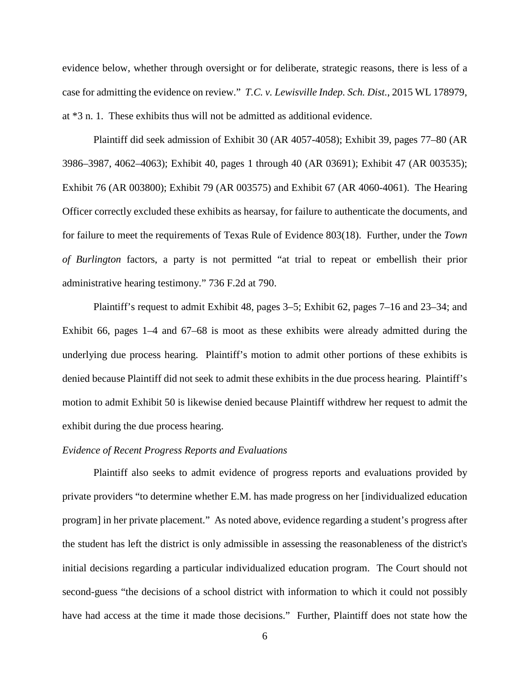evidence below, whether through oversight or for deliberate, strategic reasons, there is less of a case for admitting the evidence on review." *T.C. v. Lewisville Indep. Sch. Dist.*, 2015 WL 178979, at \*3 n. 1. These exhibits thus will not be admitted as additional evidence.

Plaintiff did seek admission of Exhibit 30 (AR 4057-4058); Exhibit 39, pages 77–80 (AR 3986–3987, 4062–4063); Exhibit 40, pages 1 through 40 (AR 03691); Exhibit 47 (AR 003535); Exhibit 76 (AR 003800); Exhibit 79 (AR 003575) and Exhibit 67 (AR 4060-4061). The Hearing Officer correctly excluded these exhibits as hearsay, for failure to authenticate the documents, and for failure to meet the requirements of Texas Rule of Evidence 803(18). Further, under the *Town of Burlington* factors, a party is not permitted "at trial to repeat or embellish their prior administrative hearing testimony." 736 F.2d at 790.

Plaintiff's request to admit Exhibit 48, pages 3–5; Exhibit 62, pages 7–16 and 23–34; and Exhibit 66, pages 1–4 and 67–68 is moot as these exhibits were already admitted during the underlying due process hearing. Plaintiff's motion to admit other portions of these exhibits is denied because Plaintiff did not seek to admit these exhibits in the due process hearing. Plaintiff's motion to admit Exhibit 50 is likewise denied because Plaintiff withdrew her request to admit the exhibit during the due process hearing.

#### *Evidence of Recent Progress Reports and Evaluations*

Plaintiff also seeks to admit evidence of progress reports and evaluations provided by private providers "to determine whether E.M. has made progress on her [individualized education program] in her private placement." As noted above, evidence regarding a student's progress after the student has left the district is only admissible in assessing the reasonableness of the district's initial decisions regarding a particular individualized education program. The Court should not second-guess "the decisions of a school district with information to which it could not possibly have had access at the time it made those decisions." Further, Plaintiff does not state how the